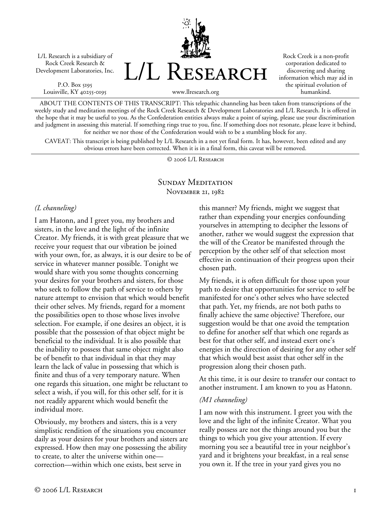L/L Research is a subsidiary of Rock Creek Research & Development Laboratories, Inc.

P.O. Box 5195 Louisville, KY 40255-0195



Rock Creek is a non-profit corporation dedicated to discovering and sharing information which may aid in the spiritual evolution of humankind.

www.llresearch.org

ABOUT THE CONTENTS OF THIS TRANSCRIPT: This telepathic channeling has been taken from transcriptions of the weekly study and meditation meetings of the Rock Creek Research & Development Laboratories and L/L Research. It is offered in the hope that it may be useful to you. As the Confederation entities always make a point of saying, please use your discrimination and judgment in assessing this material. If something rings true to you, fine. If something does not resonate, please leave it behind, for neither we nor those of the Confederation would wish to be a stumbling block for any.

CAVEAT: This transcript is being published by L/L Research in a not yet final form. It has, however, been edited and any obvious errors have been corrected. When it is in a final form, this caveat will be removed.

© 2006 L/L Research

#### SUNDAY MEDITATION November 21, 1982

#### *(L channeling)*

I am Hatonn, and I greet you, my brothers and sisters, in the love and the light of the infinite Creator. My friends, it is with great pleasure that we receive your request that our vibration be joined with your own, for, as always, it is our desire to be of service in whatever manner possible. Tonight we would share with you some thoughts concerning your desires for your brothers and sisters, for those who seek to follow the path of service to others by nature attempt to envision that which would benefit their other selves. My friends, regard for a moment the possibilities open to those whose lives involve selection. For example, if one desires an object, it is possible that the possession of that object might be beneficial to the individual. It is also possible that the inability to possess that same object might also be of benefit to that individual in that they may learn the lack of value in possessing that which is finite and thus of a very temporary nature. When one regards this situation, one might be reluctant to select a wish, if you will, for this other self, for it is not readily apparent which would benefit the individual more.

Obviously, my brothers and sisters, this is a very simplistic rendition of the situations you encounter daily as your desires for your brothers and sisters are expressed. How then may one possessing the ability to create, to alter the universe within one correction—within which one exists, best serve in

this manner? My friends, might we suggest that rather than expending your energies confounding yourselves in attempting to decipher the lessons of another, rather we would suggest the expression that the will of the Creator be manifested through the perception by the other self of that selection most effective in continuation of their progress upon their chosen path.

My friends, it is often difficult for those upon your path to desire that opportunities for service to self be manifested for one's other selves who have selected that path. Yet, my friends, are not both paths to finally achieve the same objective? Therefore, our suggestion would be that one avoid the temptation to define for another self that which one regards as best for that other self, and instead exert one's energies in the direction of desiring for any other self that which would best assist that other self in the progression along their chosen path.

At this time, it is our desire to transfer our contact to another instrument. I am known to you as Hatonn.

### *(M1 channeling)*

I am now with this instrument. I greet you with the love and the light of the infinite Creator. What you really possess are not the things around you but the things to which you give your attention. If every morning you see a beautiful tree in your neighbor's yard and it brightens your breakfast, in a real sense you own it. If the tree in your yard gives you no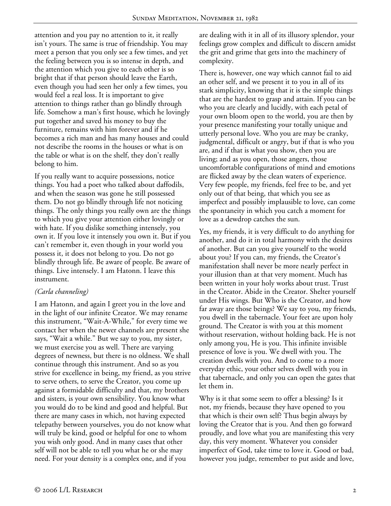attention and you pay no attention to it, it really isn't yours. The same is true of friendship. You may meet a person that you only see a few times, and yet the feeling between you is so intense in depth, and the attention which you give to each other is so bright that if that person should leave the Earth, even though you had seen her only a few times, you would feel a real loss. It is important to give attention to things rather than go blindly through life. Somehow a man's first house, which he lovingly put together and saved his money to buy the furniture, remains with him forever and if he becomes a rich man and has many houses and could not describe the rooms in the houses or what is on the table or what is on the shelf, they don't really belong to him.

If you really want to acquire possessions, notice things. You had a poet who talked about daffodils, and when the season was gone he still possessed them. Do not go blindly through life not noticing things. The only things you really own are the things to which you give your attention either lovingly or with hate. If you dislike something intensely, you own it. If you love it intensely you own it. But if you can't remember it, even though in your world you possess it, it does not belong to you. Do not go blindly through life. Be aware of people. Be aware of things. Live intensely. I am Hatonn. I leave this instrument.

### *(Carla channeling)*

I am Hatonn, and again I greet you in the love and in the light of our infinite Creator. We may rename this instrument, "Wait-A-While," for every time we contact her when the newer channels are present she says, "Wait a while." But we say to you, my sister, we must exercise you as well. There are varying degrees of newness, but there is no oldness. We shall continue through this instrument. And so as you strive for excellence in being, my friend, as you strive to serve others, to serve the Creator, you come up against a formidable difficulty and that, my brothers and sisters, is your own sensibility. You know what you would do to be kind and good and helpful. But there are many cases in which, not having expected telepathy between yourselves, you do not know what will truly be kind, good or helpful for one to whom you wish only good. And in many cases that other self will not be able to tell you what he or she may need. For your density is a complex one, and if you

are dealing with it in all of its illusory splendor, your feelings grow complex and difficult to discern amidst the grit and grime that gets into the machinery of complexity.

There is, however, one way which cannot fail to aid an other self, and we present it to you in all of its stark simplicity, knowing that it is the simple things that are the hardest to grasp and attain. If you can be who you are clearly and lucidly, with each petal of your own bloom open to the world, you are then by your presence manifesting your totally unique and utterly personal love. Who you are may be cranky, judgmental, difficult or angry, but if that is who you are, and if that is what you show, then you are living; and as you open, those angers, those uncomfortable configurations of mind and emotions are flicked away by the clean waters of experience. Very few people, my friends, feel free to be, and yet only out of that being, that which you see as imperfect and possibly implausible to love, can come the spontaneity in which you catch a moment for love as a dewdrop catches the sun.

Yes, my friends, it is very difficult to do anything for another, and do it in total harmony with the desires of another. But can you give yourself to the world about you? If you can, my friends, the Creator's manifestation shall never be more nearly perfect in your illusion than at that very moment. Much has been written in your holy works about trust. Trust in the Creator. Abide in the Creator. Shelter yourself under His wings. But Who is the Creator, and how far away are those beings? We say to you, my friends, you dwell in the tabernacle. Your feet are upon holy ground. The Creator is with you at this moment without reservation, without holding back. He is not only among you, He is you. This infinite invisible presence of love is you. We dwell with you. The creation dwells with you. And to come to a more everyday ethic, your other selves dwell with you in that tabernacle, and only you can open the gates that let them in.

Why is it that some seem to offer a blessing? Is it not, my friends, because they have opened to you that which is their own self? Thus begin always by loving the Creator that is you. And then go forward proudly, and love what you are manifesting this very day, this very moment. Whatever you consider imperfect of God, take time to love it. Good or bad, however you judge, remember to put aside and love,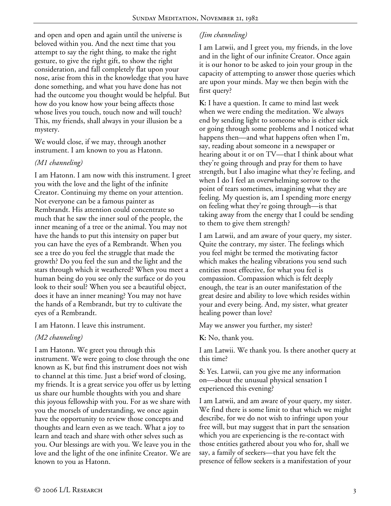and open and open and again until the universe is beloved within you. And the next time that you attempt to say the right thing, to make the right gesture, to give the right gift, to show the right consideration, and fall completely flat upon your nose, arise from this in the knowledge that you have done something, and what you have done has not had the outcome you thought would be helpful. But how do you know how your being affects those whose lives you touch, touch now and will touch? This, my friends, shall always in your illusion be a mystery.

We would close, if we may, through another instrument. I am known to you as Hatonn.

## *(M1 channeling)*

I am Hatonn. I am now with this instrument. I greet you with the love and the light of the infinite Creator. Continuing my theme on your attention. Not everyone can be a famous painter as Rembrandt. His attention could concentrate so much that he saw the inner soul of the people, the inner meaning of a tree or the animal. You may not have the hands to put this intensity on paper but you can have the eyes of a Rembrandt. When you see a tree do you feel the struggle that made the growth? Do you feel the sun and the light and the stars through which it weathered? When you meet a human being do you see only the surface or do you look to their soul? When you see a beautiful object, does it have an inner meaning? You may not have the hands of a Rembrandt, but try to cultivate the eyes of a Rembrandt.

I am Hatonn. I leave this instrument.

# *(M2 channeling)*

I am Hatonn. We greet you through this instrument. We were going to close through the one known as K, but find this instrument does not wish to channel at this time. Just a brief word of closing, my friends. It is a great service you offer us by letting us share our humble thoughts with you and share this joyous fellowship with you. For as we share with you the morsels of understanding, we once again have the opportunity to review those concepts and thoughts and learn even as we teach. What a joy to learn and teach and share with other selves such as you. Our blessings are with you. We leave you in the love and the light of the one infinite Creator. We are known to you as Hatonn.

# *(Jim channeling)*

I am Latwii, and I greet you, my friends, in the love and in the light of our infinite Creator. Once again it is our honor to be asked to join your group in the capacity of attempting to answer those queries which are upon your minds. May we then begin with the first query?

**K:** I have a question. It came to mind last week when we were ending the meditation. We always end by sending light to someone who is either sick or going through some problems and I noticed what happens then—and what happens often when I'm, say, reading about someone in a newspaper or hearing about it or on TV—that I think about what they're going through and pray for them to have strength, but I also imagine what they're feeling, and when I do I feel an overwhelming sorrow to the point of tears sometimes, imagining what they are feeling. My question is, am I spending more energy on feeling what they're going through—is that taking away from the energy that I could be sending to them to give them strength?

I am Latwii, and am aware of your query, my sister. Quite the contrary, my sister. The feelings which you feel might be termed the motivating factor which makes the healing vibrations you send such entities most effective, for what you feel is compassion. Compassion which is felt deeply enough, the tear is an outer manifestation of the great desire and ability to love which resides within your and every being. And, my sister, what greater healing power than love?

May we answer you further, my sister?

**K:** No, thank you.

I am Latwii. We thank you. Is there another query at this time?

**S:** Yes. Latwii, can you give me any information on—about the unusual physical sensation I experienced this evening?

I am Latwii, and am aware of your query, my sister. We find there is some limit to that which we might describe, for we do not wish to infringe upon your free will, but may suggest that in part the sensation which you are experiencing is the re-contact with those entities gathered about you who for, shall we say, a family of seekers—that you have felt the presence of fellow seekers is a manifestation of your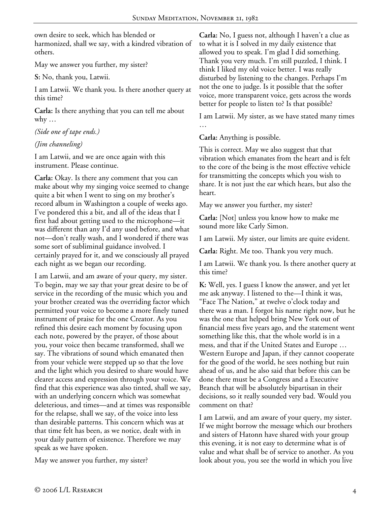own desire to seek, which has blended or harmonized, shall we say, with a kindred vibration of others.

May we answer you further, my sister?

**S:** No, thank you, Latwii.

I am Latwii. We thank you. Is there another query at this time?

**Carla:** Is there anything that you can tell me about why  $\dots$ 

*(Side one of tape ends.)* 

### *(Jim channeling)*

I am Latwii, and we are once again with this instrument. Please continue.

**Carla:** Okay. Is there any comment that you can make about why my singing voice seemed to change quite a bit when I went to sing on my brother's record album in Washington a couple of weeks ago. I've pondered this a bit, and all of the ideas that I first had about getting used to the microphone—it was different than any I'd any used before, and what not—don't really wash, and I wondered if there was some sort of subliminal guidance involved. I certainly prayed for it, and we consciously all prayed each night as we began our recording.

I am Latwii, and am aware of your query, my sister. To begin, may we say that your great desire to be of service in the recording of the music which you and your brother created was the overriding factor which permitted your voice to become a more finely tuned instrument of praise for the one Creator. As you refined this desire each moment by focusing upon each note, powered by the prayer, of those about you, your voice then became transformed, shall we say. The vibrations of sound which emanated then from your vehicle were stepped up so that the love and the light which you desired to share would have clearer access and expression through your voice. We find that this experience was also tinted, shall we say, with an underlying concern which was somewhat deleterious, and times—and at times was responsible for the relapse, shall we say, of the voice into less than desirable patterns. This concern which was at that time felt has been, as we notice, dealt with in your daily pattern of existence. Therefore we may speak as we have spoken.

May we answer you further, my sister?

**Carla:** No, I guess not, although I haven't a clue as to what it is I solved in my daily existence that allowed you to speak. I'm glad I did something. Thank you very much. I'm still puzzled, I think. I think I liked my old voice better. I was really disturbed by listening to the changes. Perhaps I'm not the one to judge. Is it possible that the softer voice, more transparent voice, gets across the words better for people to listen to? Is that possible?

I am Latwii. My sister, as we have stated many times …

**Carla:** Anything is possible.

This is correct. May we also suggest that that vibration which emanates from the heart and is felt to the core of the being is the most effective vehicle for transmitting the concepts which you wish to share. It is not just the ear which hears, but also the heart.

May we answer you further, my sister?

**Carla:** [Not] unless you know how to make me sound more like Carly Simon.

I am Latwii. My sister, our limits are quite evident.

**Carla:** Right. Me too. Thank you very much.

I am Latwii. We thank you. Is there another query at this time?

**K:** Well, yes. I guess I know the answer, and yet let me ask anyway. I listened to the—I think it was, "Face The Nation," at twelve o'clock today and there was a man. I forgot his name right now, but he was the one that helped bring New York out of financial mess five years ago, and the statement went something like this, that the whole world is in a mess, and that if the United States and Europe … Western Europe and Japan, if they cannot cooperate for the good of the world, he sees nothing but ruin ahead of us, and he also said that before this can be done there must be a Congress and a Executive Branch that will be absolutely bipartisan in their decisions, so it really sounded very bad. Would you comment on that?

I am Latwii, and am aware of your query, my sister. If we might borrow the message which our brothers and sisters of Hatonn have shared with your group this evening, it is not easy to determine what is of value and what shall be of service to another. As you look about you, you see the world in which you live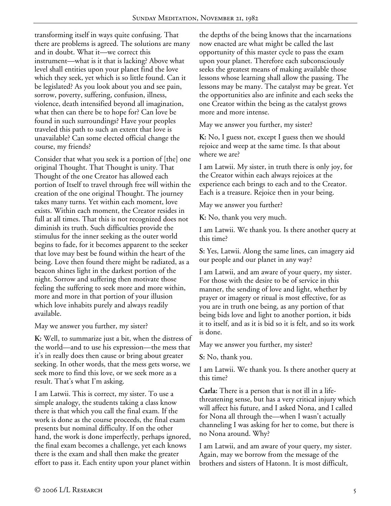transforming itself in ways quite confusing. That there are problems is agreed. The solutions are many and in doubt. What it—we correct this instrument—what is it that is lacking? Above what level shall entities upon your planet find the love which they seek, yet which is so little found. Can it be legislated? As you look about you and see pain, sorrow, poverty, suffering, confusion, illness, violence, death intensified beyond all imagination, what then can there be to hope for? Can love be found in such surroundings? Have your peoples traveled this path to such an extent that love is unavailable? Can some elected official change the course, my friends?

Consider that what you seek is a portion of [the] one original Thought. That Thought is unity. That Thought of the one Creator has allowed each portion of Itself to travel through free will within the creation of the one original Thought. The journey takes many turns. Yet within each moment, love exists. Within each moment, the Creator resides in full at all times. That this is not recognized does not diminish its truth. Such difficulties provide the stimulus for the inner seeking as the outer world begins to fade, for it becomes apparent to the seeker that love may best be found within the heart of the being. Love then found there might be radiated, as a beacon shines light in the darkest portion of the night. Sorrow and suffering then motivate those feeling the suffering to seek more and more within, more and more in that portion of your illusion which love inhabits purely and always readily available.

May we answer you further, my sister?

**K:** Well, to summarize just a bit, when the distress of the world—and to use his expression—the mess that it's in really does then cause or bring about greater seeking. In other words, that the mess gets worse, we seek more to find this love, or we seek more as a result. That's what I'm asking.

I am Latwii. This is correct, my sister. To use a simple analogy, the students taking a class know there is that which you call the final exam. If the work is done as the course proceeds, the final exam presents but nominal difficulty. If on the other hand, the work is done imperfectly, perhaps ignored, the final exam becomes a challenge, yet each knows there is the exam and shall then make the greater effort to pass it. Each entity upon your planet within

the depths of the being knows that the incarnations now enacted are what might be called the last opportunity of this master cycle to pass the exam upon your planet. Therefore each subconsciously seeks the greatest means of making available those lessons whose learning shall allow the passing. The lessons may be many. The catalyst may be great. Yet the opportunities also are infinite and each seeks the one Creator within the being as the catalyst grows more and more intense.

May we answer you further, my sister?

**K:** No, I guess not, except I guess then we should rejoice and weep at the same time. Is that about where we are?

I am Latwii. My sister, in truth there is only joy, for the Creator within each always rejoices at the experience each brings to each and to the Creator. Each is a treasure. Rejoice then in your being.

May we answer you further?

**K:** No, thank you very much.

I am Latwii. We thank you. Is there another query at this time?

**S:** Yes, Latwii. Along the same lines, can imagery aid our people and our planet in any way?

I am Latwii, and am aware of your query, my sister. For those with the desire to be of service in this manner, the sending of love and light, whether by prayer or imagery or ritual is most effective, for as you are in truth one being, as any portion of that being bids love and light to another portion, it bids it to itself, and as it is bid so it is felt, and so its work is done.

May we answer you further, my sister?

**S:** No, thank you.

I am Latwii. We thank you. Is there another query at this time?

**Carla:** There is a person that is not ill in a lifethreatening sense, but has a very critical injury which will affect his future, and I asked Nona, and I called for Nona all through the—when I wasn't actually channeling I was asking for her to come, but there is no Nona around. Why?

I am Latwii, and am aware of your query, my sister. Again, may we borrow from the message of the brothers and sisters of Hatonn. It is most difficult,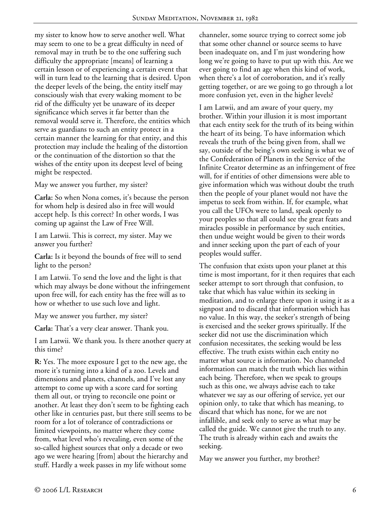my sister to know how to serve another well. What may seem to one to be a great difficulty in need of removal may in truth be to the one suffering such difficulty the appropriate [means] of learning a certain lesson or of experiencing a certain event that will in turn lead to the learning that is desired. Upon the deeper levels of the being, the entity itself may consciously wish that every waking moment to be rid of the difficulty yet be unaware of its deeper significance which serves it far better than the removal would serve it. Therefore, the entities which serve as guardians to such an entity protect in a certain manner the learning for that entity, and this protection may include the healing of the distortion or the continuation of the distortion so that the wishes of the entity upon its deepest level of being might be respected.

May we answer you further, my sister?

**Carla:** So when Nona comes, it's because the person for whom help is desired also in free will would accept help. Is this correct? In other words, I was coming up against the Law of Free Will.

I am Latwii. This is correct, my sister. May we answer you further?

**Carla:** Is it beyond the bounds of free will to send light to the person?

I am Latwii. To send the love and the light is that which may always be done without the infringement upon free will, for each entity has the free will as to how or whether to use such love and light.

May we answer you further, my sister?

**Carla:** That's a very clear answer. Thank you.

I am Latwii. We thank you. Is there another query at this time?

**R:** Yes. The more exposure I get to the new age, the more it's turning into a kind of a zoo. Levels and dimensions and planets, channels, and I've lost any attempt to come up with a score card for sorting them all out, or trying to reconcile one point or another. At least they don't seem to be fighting each other like in centuries past, but there still seems to be room for a lot of tolerance of contradictions or limited viewpoints, no matter where they come from, what level who's revealing, even some of the so-called highest sources that only a decade or two ago we were hearing [from] about the hierarchy and stuff. Hardly a week passes in my life without some

channeler, some source trying to correct some job that some other channel or source seems to have been inadequate on, and I'm just wondering how long we're going to have to put up with this. Are we ever going to find an age when this kind of work, when there's a lot of corroboration, and it's really getting together, or are we going to go through a lot more confusion yet, even in the higher levels?

I am Latwii, and am aware of your query, my brother. Within your illusion it is most important that each entity seek for the truth of its being within the heart of its being. To have information which reveals the truth of the being given from, shall we say, outside of the being's own seeking is what we of the Confederation of Planets in the Service of the Infinite Creator determine as an infringement of free will, for if entities of other dimensions were able to give information which was without doubt the truth then the people of your planet would not have the impetus to seek from within. If, for example, what you call the UFOs were to land, speak openly to your peoples so that all could see the great feats and miracles possible in performance by such entities, then undue weight would be given to their words and inner seeking upon the part of each of your peoples would suffer.

The confusion that exists upon your planet at this time is most important, for it then requires that each seeker attempt to sort through that confusion, to take that which has value within its seeking in meditation, and to enlarge there upon it using it as a signpost and to discard that information which has no value. In this way, the seeker's strength of being is exercised and the seeker grows spiritually. If the seeker did not use the discrimination which confusion necessitates, the seeking would be less effective. The truth exists within each entity no matter what source is information. No channeled information can match the truth which lies within each being. Therefore, when we speak to groups such as this one, we always advise each to take whatever we say as our offering of service, yet our opinion only, to take that which has meaning, to discard that which has none, for we are not infallible, and seek only to serve as what may be called the guide. We cannot give the truth to any. The truth is already within each and awaits the seeking.

May we answer you further, my brother?